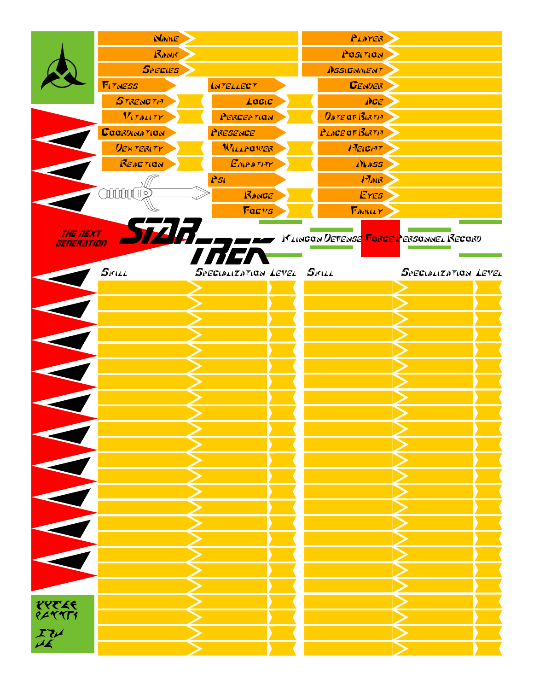|            | <b>NANE</b>     |                            | PLAYER                                                |                      |  |
|------------|-----------------|----------------------------|-------------------------------------------------------|----------------------|--|
|            | RANK            |                            | Pasition                                              |                      |  |
|            | <b>SPECIES</b>  |                            | PSSIGNMENT                                            |                      |  |
|            | <b>FITNESS</b>  | <b>INTELLECT</b>           | <b>GENDER</b>                                         |                      |  |
|            | <b>STRENGTH</b> | $\text{Lag}(\mathcal{C})$  | AGE                                                   |                      |  |
|            | VITALITY        | PERCEPTION                 | DATE OF BIRTH                                         |                      |  |
|            | COORDINATION    | PRESENCE                   | <b>PLACE OF BIRTH</b>                                 |                      |  |
|            | DEXTERITY       | WILLPOWER                  | PEIGHT                                                |                      |  |
|            | REACTION        | EMPATHY                    | 11755                                                 |                      |  |
|            |                 | As <sub>1</sub>            | FIALR                                                 |                      |  |
|            | 咖啡!             | RANGE                      | EYES                                                  |                      |  |
|            |                 | Facys                      | FANILY                                                |                      |  |
| THE TIEXT  | STAR.           |                            |                                                       |                      |  |
| GENERATION |                 |                            | Klingon Defense <mark> Force P</mark> ersonnel Record |                      |  |
|            |                 | INE                        |                                                       |                      |  |
|            | Skill           | SPECIALIZATION LEVEL SKILL |                                                       | SPECIALIZATION LEVEL |  |
|            |                 |                            |                                                       |                      |  |
|            |                 |                            |                                                       |                      |  |
|            |                 |                            |                                                       |                      |  |
|            |                 |                            |                                                       |                      |  |
|            |                 |                            |                                                       |                      |  |
|            |                 |                            |                                                       |                      |  |
|            |                 |                            |                                                       |                      |  |
|            |                 |                            |                                                       |                      |  |
|            |                 |                            |                                                       |                      |  |
|            |                 |                            |                                                       |                      |  |
|            |                 |                            |                                                       |                      |  |
|            |                 |                            |                                                       |                      |  |
|            |                 |                            |                                                       |                      |  |
|            |                 |                            |                                                       |                      |  |
|            |                 |                            |                                                       |                      |  |
| E          |                 |                            |                                                       |                      |  |
|            |                 |                            |                                                       |                      |  |
|            |                 |                            |                                                       |                      |  |
|            |                 |                            |                                                       |                      |  |
|            |                 |                            |                                                       |                      |  |
|            |                 |                            |                                                       |                      |  |
| PPEEE      |                 |                            |                                                       |                      |  |
| $\chi$     |                 |                            |                                                       |                      |  |
| ИE         |                 |                            |                                                       |                      |  |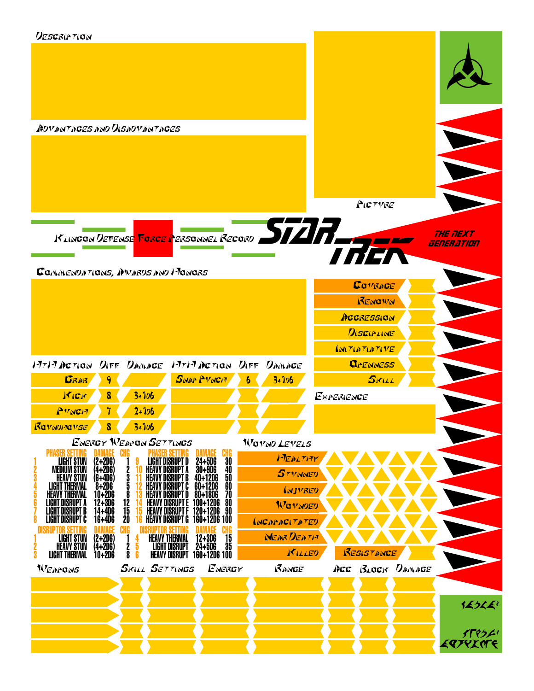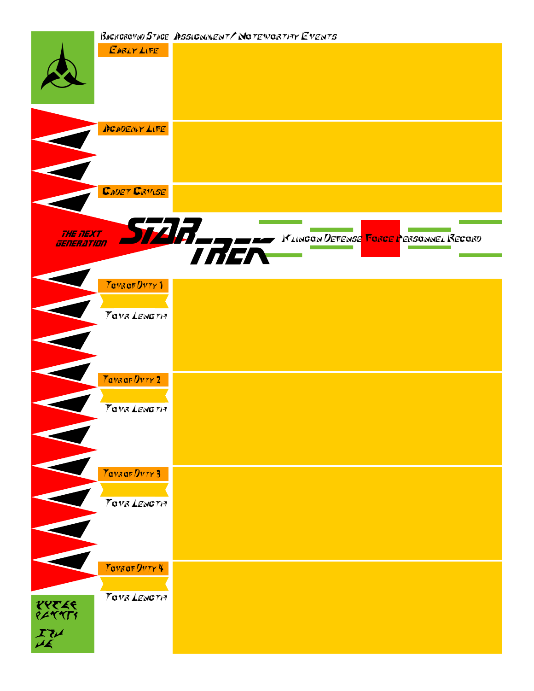